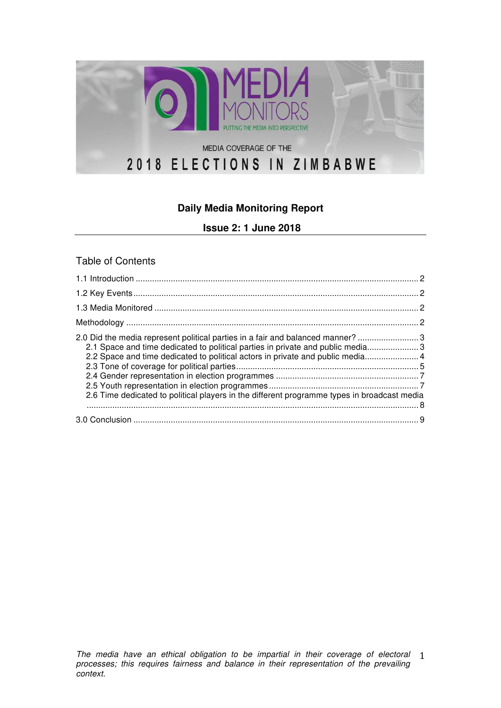

# **Daily Media Monitoring Report**

**Issue 2: 1 June 2018**

#### Table of Contents

| 2.0 Did the media represent political parties in a fair and balanced manner?  3<br>2.1 Space and time dedicated to political parties in private and public media 3<br>2.2 Space and time dedicated to political actors in private and public media 4<br>2.6 Time dedicated to political players in the different programme types in broadcast media |  |
|-----------------------------------------------------------------------------------------------------------------------------------------------------------------------------------------------------------------------------------------------------------------------------------------------------------------------------------------------------|--|
|                                                                                                                                                                                                                                                                                                                                                     |  |
|                                                                                                                                                                                                                                                                                                                                                     |  |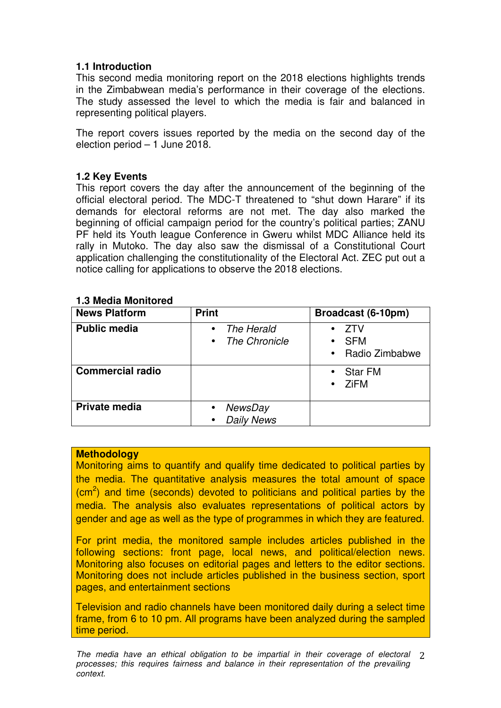## **1.1 Introduction**

This second media monitoring report on the 2018 elections highlights trends in the Zimbabwean media's performance in their coverage of the elections. The study assessed the level to which the media is fair and balanced in representing political players.

The report covers issues reported by the media on the second day of the election period – 1 June 2018.

## **1.2 Key Events**

This report covers the day after the announcement of the beginning of the official electoral period. The MDC-T threatened to "shut down Harare" if its demands for electoral reforms are not met. The day also marked the beginning of official campaign period for the country's political parties; ZANU PF held its Youth league Conference in Gweru whilst MDC Alliance held its rally in Mutoko. The day also saw the dismissal of a Constitutional Court application challenging the constitutionality of the Electoral Act. ZEC put out a notice calling for applications to observe the 2018 elections.

| <b>News Platform</b>    | <b>Print</b>                                                 | Broadcast (6-10pm)                    |
|-------------------------|--------------------------------------------------------------|---------------------------------------|
| <b>Public media</b>     | The Herald<br>$\bullet$<br><b>The Chronicle</b><br>$\bullet$ | ZTV<br><b>SFM</b><br>• Radio Zimbabwe |
| <b>Commercial radio</b> |                                                              | <b>Star FM</b><br><b>ZiFM</b>         |
| <b>Private media</b>    | <b>NewsDay</b><br><b>Daily News</b>                          |                                       |

#### **1.3 Media Monitored**

#### **Methodology**

Monitoring aims to quantify and qualify time dedicated to political parties by the media. The quantitative analysis measures the total amount of space  $\rm (cm^2)$  and time (seconds) devoted to politicians and political parties by the media. The analysis also evaluates representations of political actors by gender and age as well as the type of programmes in which they are featured.

For print media, the monitored sample includes articles published in the following sections: front page, local news, and political/election news. Monitoring also focuses on editorial pages and letters to the editor sections. Monitoring does not include articles published in the business section, sport pages, and entertainment sections

Television and radio channels have been monitored daily during a select time frame, from 6 to 10 pm. All programs have been analyzed during the sampled time period.

The media have an ethical obligation to be impartial in their coverage of electoral 2 processes; this requires fairness and balance in their representation of the prevailing context.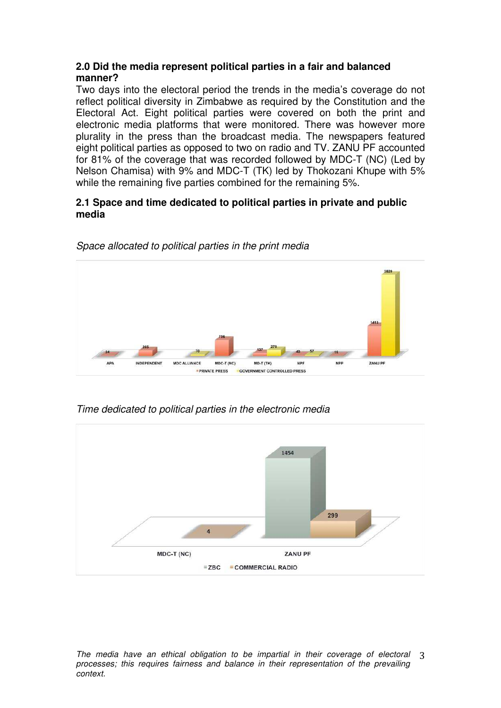#### **2.0 Did the media represent political parties in a fair and balanced manner?**

Two days into the electoral period the trends in the media's coverage do not reflect political diversity in Zimbabwe as required by the Constitution and the Electoral Act. Eight political parties were covered on both the print and electronic media platforms that were monitored. There was however more plurality in the press than the broadcast media. The newspapers featured eight political parties as opposed to two on radio and TV. ZANU PF accounted for 81% of the coverage that was recorded followed by MDC-T (NC) (Led by Nelson Chamisa) with 9% and MDC-T (TK) led by Thokozani Khupe with 5% while the remaining five parties combined for the remaining 5%.

## **2.1 Space and time dedicated to political parties in private and public media**



Space allocated to political parties in the print media

Time dedicated to political parties in the electronic media



The media have an ethical obligation to be impartial in their coverage of electoral 3 processes; this requires fairness and balance in their representation of the prevailing context.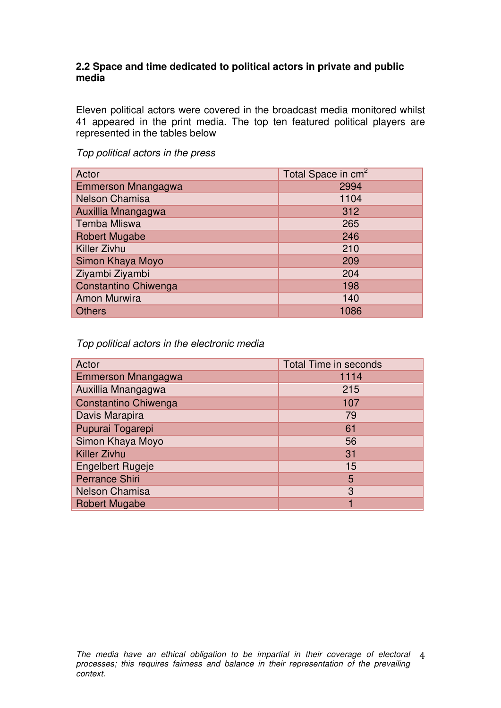#### **2.2 Space and time dedicated to political actors in private and public media**

Eleven political actors were covered in the broadcast media monitored whilst 41 appeared in the print media. The top ten featured political players are represented in the tables below

| Actor                 | Total Space in cm <sup>2</sup> |
|-----------------------|--------------------------------|
| Emmerson Mnangagwa    | 2994                           |
| <b>Nelson Chamisa</b> | 1104                           |
| Auxillia Mnangagwa    | 312                            |
| <b>Temba Mliswa</b>   | 265                            |
| <b>Robert Mugabe</b>  | 246                            |
| Killer Zivhu          | 210                            |
| Simon Khaya Moyo      | 209                            |
| Ziyambi Ziyambi       | 204                            |
| Constantino Chiwenga  | 198                            |
| <b>Amon Murwira</b>   | 140                            |
| <b>Others</b>         | 1086                           |

Top political actors in the press

Top political actors in the electronic media

| Actor                   | <b>Total Time in seconds</b> |
|-------------------------|------------------------------|
| Emmerson Mnangagwa      | 1114                         |
| Auxillia Mnangagwa      | 215                          |
| Constantino Chiwenga    | 107                          |
| Davis Marapira          | 79                           |
| Pupurai Togarepi        | 61                           |
| Simon Khaya Moyo        | 56                           |
| <b>Killer Zivhu</b>     | 31                           |
| <b>Engelbert Rugeje</b> | 15                           |
| <b>Perrance Shiri</b>   | 5                            |
| <b>Nelson Chamisa</b>   | 3                            |
| <b>Robert Mugabe</b>    |                              |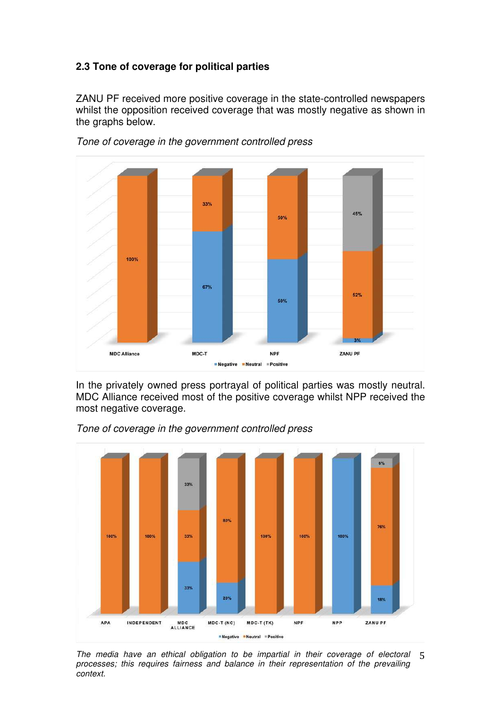## **2.3 Tone of coverage for political parties**

ZANU PF received more positive coverage in the state-controlled newspapers whilst the opposition received coverage that was mostly negative as shown in the graphs below.



Tone of coverage in the government controlled press

In the privately owned press portrayal of political parties was mostly neutral. MDC Alliance received most of the positive coverage whilst NPP received the most negative coverage.



Tone of coverage in the government controlled press

The media have an ethical obligation to be impartial in their coverage of electoral 5 
processes; this requires fairness and balance in their representation of the prevailing context.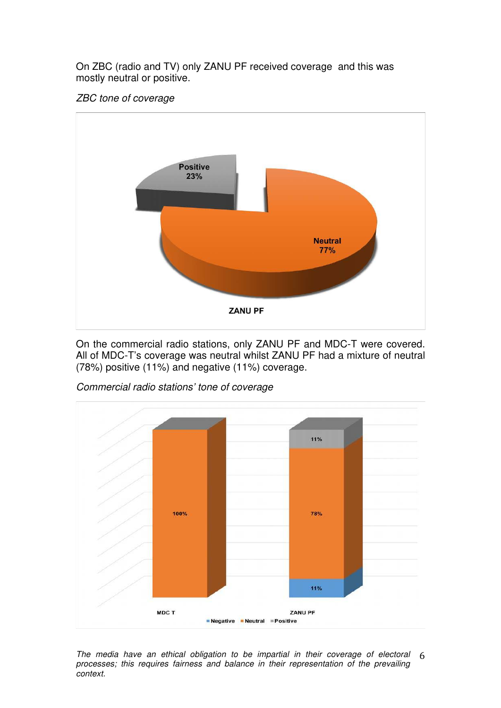On ZBC (radio and TV) only ZANU PF received coverage and this was mostly neutral or positive.

### ZBC tone of coverage



On the commercial radio stations, only ZANU PF and MDC-T were covered. All of MDC-T's coverage was neutral whilst ZANU PF had a mixture of neutral (78%) positive (11%) and negative (11%) coverage.



Commercial radio stations' tone of coverage

MDC T

The media have an ethical obligation to be impartial in their coverage of electoral  $6$ processes; this requires fairness and balance in their representation of the prevailing context.

Negative Neutral Positive

11%

ZANU PF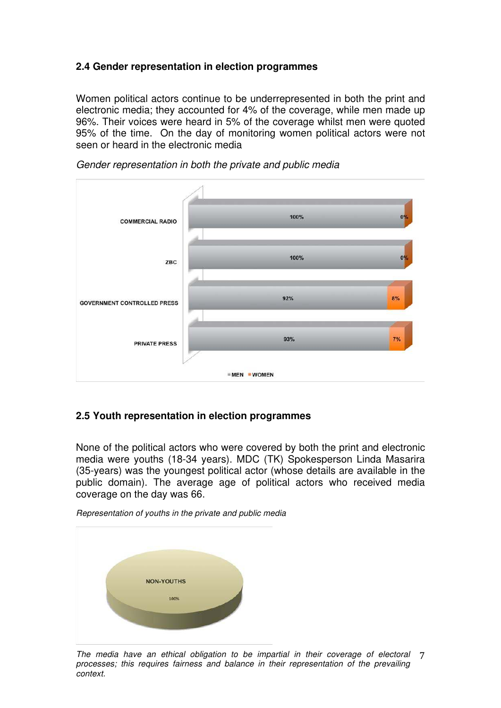## **2.4 Gender representation in election programmes**

Women political actors continue to be underrepresented in both the print and electronic media; they accounted for 4% of the coverage, while men made up 96%. Their voices were heard in 5% of the coverage whilst men were quoted 95% of the time. On the day of monitoring women political actors were not seen or heard in the electronic media



Gender representation in both the private and public media

## **2.5 Youth representation in election programmes**

None of the political actors who were covered by both the print and electronic media were youths (18-34 years). MDC (TK) Spokesperson Linda Masarira (35-years) was the youngest political actor (whose details are available in the public domain). The average age of political actors who received media coverage on the day was 66.

Representation of youths in the private and public media



The media have an ethical obligation to be impartial in their coverage of electoral 7 processes; this requires fairness and balance in their representation of the prevailing context.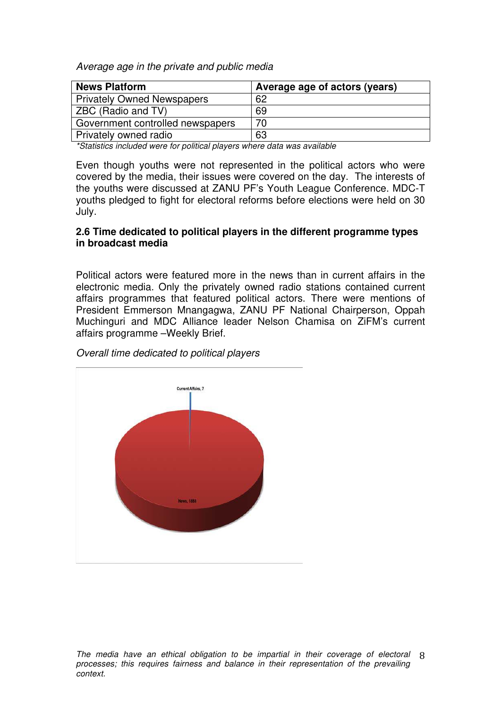Average age in the private and public media

| <b>News Platform</b>              | Average age of actors (years) |
|-----------------------------------|-------------------------------|
| <b>Privately Owned Newspapers</b> | 62                            |
| ZBC (Radio and TV)                | 69                            |
| Government controlled newspapers  | 70                            |
| Privately owned radio             | 63                            |

\*Statistics included were for political players where data was available

Even though youths were not represented in the political actors who were covered by the media, their issues were covered on the day. The interests of the youths were discussed at ZANU PF's Youth League Conference. MDC-T youths pledged to fight for electoral reforms before elections were held on 30 July.

#### **2.6 Time dedicated to political players in the different programme types in broadcast media**

Political actors were featured more in the news than in current affairs in the electronic media. Only the privately owned radio stations contained current affairs programmes that featured political actors. There were mentions of President Emmerson Mnangagwa, ZANU PF National Chairperson, Oppah Muchinguri and MDC Alliance leader Nelson Chamisa on ZiFM's current affairs programme –Weekly Brief.



Overall time dedicated to political players